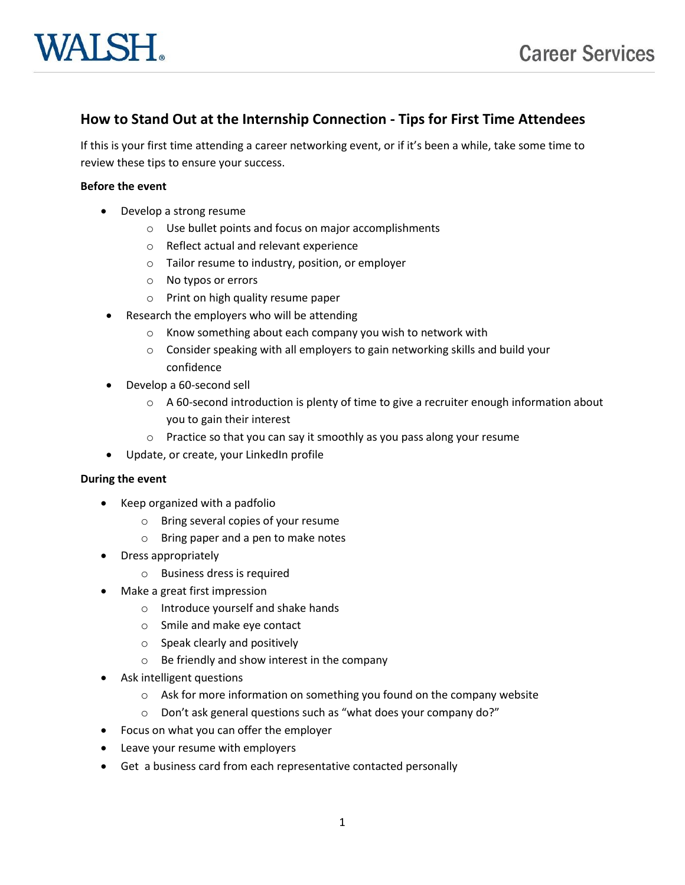# **How to Stand Out at the Internship Connection - Tips for First Time Attendees**

If this is your first time attending a career networking event, or if it's been a while, take some time to review these tips to ensure your success.

#### **Before the event**

- Develop a strong resume
	- o Use bullet points and focus on major accomplishments
	- o Reflect actual and relevant experience
	- o Tailor resume to industry, position, or employer
	- o No typos or errors
	- o Print on high quality resume paper
	- Research the employers who will be attending
		- o Know something about each company you wish to network with
		- o Consider speaking with all employers to gain networking skills and build your confidence
- Develop a 60-second sell
	- $\circ$  A 60-second introduction is plenty of time to give a recruiter enough information about you to gain their interest
	- o Practice so that you can say it smoothly as you pass along your resume
- Update, or create, your LinkedIn profile

### **During the event**

- Keep organized with a padfolio
	- o Bring several copies of your resume
	- o Bring paper and a pen to make notes
- Dress appropriately
	- o Business dress is required
- Make a great first impression
	- o Introduce yourself and shake hands
	- o Smile and make eye contact
	- o Speak clearly and positively
	- o Be friendly and show interest in the company
- Ask intelligent questions
	- o Ask for more information on something you found on the company website
	- o Don't ask general questions such as "what does your company do?"
- Focus on what you can offer the employer
- Leave your resume with employers
- Get a business card from each representative contacted personally